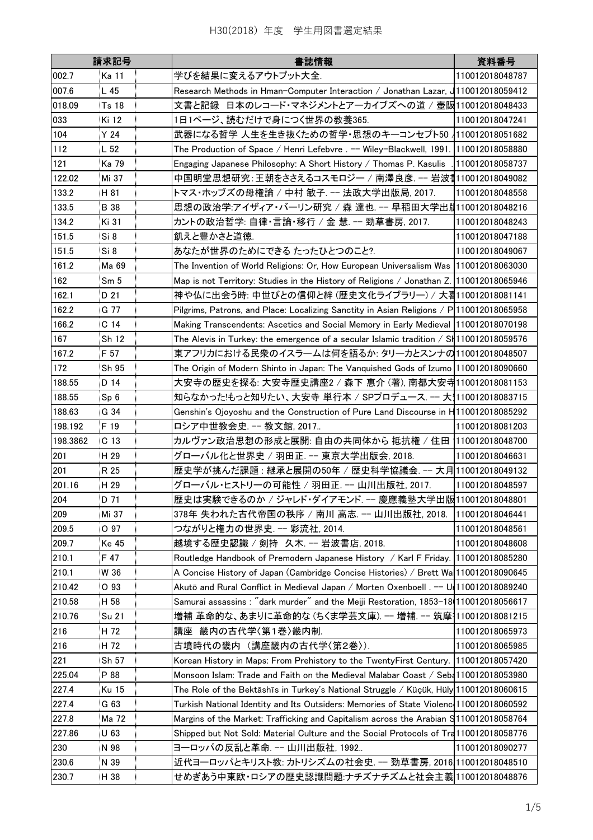|          | 請求記号            | 書誌情報                                                                                     | 資料番号            |
|----------|-----------------|------------------------------------------------------------------------------------------|-----------------|
| 002.7    | <b>Ka 11</b>    | 学びを結果に変えるアウトプット大全.                                                                       | 110012018048787 |
| 007.6    | L 45            | Research Methods in Hman-Computer Interaction / Jonathan Lazar, 1110012018059412         |                 |
| 018.09   | Ts 18           | 文書と記録 日本のレコード・マネジメントとアーカイブズへの道 / 壺阪110012018048433                                       |                 |
| 033      | Ki 12           | 1日1ページ、読むだけで身につく世界の教養365.                                                                | 110012018047241 |
| 104      | Y 24            | 武器になる哲学 人生を生き抜くための哲学・思想のキーコンセプト50 /110012018051682                                       |                 |
| 112      | L <sub>52</sub> | The Production of Space / Henri Lefebvre . -- Wiley-Blackwell, 1991. 110012018058880     |                 |
| 121      | Ka 79           | Engaging Japanese Philosophy: A Short History / Thomas P. Kasulis                        | 110012018058737 |
| 122.02   | Mi 37           | 中国明堂思想研究:王朝をささえるコスモロジー / 南澤良彦. -- 岩波書110012018049082                                     |                 |
| 133.2    | H 81            | トマス・ホッブズの母権論 / 中村 敏子. -- 法政大学出版局, 2017.                                                  | 110012018048558 |
| 133.5    | <b>B</b> 38     | 思想の政治学:アイザィア・バーリン研究 / 森 達也. -- 早稲田大学出胤110012018048216                                    |                 |
| 134.2    | Ki 31           | カントの政治哲学: 自律・言論・移行 / 金 慧. -- 勁草書房, 2017.                                                 | 110012018048243 |
| 151.5    | Si 8            | 飢えと豊かさと道徳.                                                                               | 110012018047188 |
| 151.5    | Si 8            | あなたが世界のためにできる たったひとつのこと?.                                                                | 110012018049067 |
| 161.2    | Ma 69           | The Invention of World Religions: Or, How European Universalism Was 110012018063030      |                 |
| 162      | Sm <sub>5</sub> | Map is not Territory: Studies in the History of Religions / Jonathan Z. 110012018065946  |                 |
|          |                 | 神や仏に出会う時: 中世びとの信仰と絆 (歴史文化ライブラリー) / 大暑110012018081141                                     |                 |
| 162.1    | D 21<br>G 77    |                                                                                          |                 |
| 162.2    |                 | Pilgrims, Patrons, and Place: Localizing Sanctity in Asian Religions / P 110012018065958 |                 |
| 166.2    | C <sub>14</sub> | Making Transcendents: Ascetics and Social Memory in Early Medieval 110012018070198       |                 |
| 167      | Sh 12           | The Alevis in Turkey: the emergence of a secular Islamic tradition / S   110012018059576 |                 |
| 167.2    | F 57            | 東アフリカにおける民衆のイスラームは何を語るか: タリーカとスンナの110012018048507                                        |                 |
| 172      | Sh 95           | The Origin of Modern Shinto in Japan: The Vanquished Gods of Izumo 110012018090660       |                 |
| 188.55   | D 14            | 大安寺の歴史を探る: 大安寺歴史講座2 / 森下 惠介 (著), 南都大安寺110012018081153                                    |                 |
| 188.55   | Sp 6            | 知らなかった!もっと知りたい、大安寺 単行本 / SPプロデュース. -- 大1110012018083715                                  |                 |
| 188.63   | G 34            | Genshin's Ojoyoshu and the Construction of Pure Land Discourse in H110012018085292       |                 |
| 198.192  | F 19            | ロシア中世教会史. -- 教文館, 2017                                                                   | 110012018081203 |
| 198.3862 | C <sub>13</sub> | カルヴァン政治思想の形成と展開: 自由の共同体から 抵抗権 / 住田  110012018048700                                      |                 |
| 201      | H 29            | グローバル化と世界史 / 羽田正. -- 東京大学出版会, 2018.                                                      | 110012018046631 |
| 201      | R 25            | 歴史学が挑んだ課題 : 継承と展開の50年 / 歴史科学協議会. -- 大月 110012018049132                                   |                 |
| 201.16   | H 29            | グローバル・ヒストリーの可能性 / 羽田正. -- 山川出版社, 2017.                                                   | 110012018048597 |
| 204      | D 71            | 歴史は実験できるのか / ジャレド・ダイアモンド. -- 慶應義塾大学出版110012018048801                                     |                 |
| 209      | Mi 37           | 378年 失われた古代帝国の秩序 / 南川 高志. -- 山川出版社, 2018.                                                | 110012018046441 |
| 209.5    | O 97            | つながりと権力の世界史. -- 彩流社, 2014.                                                               | 110012018048561 |
| 209.7    | <b>Ke 45</b>    | 越境する歴史認識 / 剣持 久木. -- 岩波書店, 2018.                                                         | 110012018048608 |
| 210.1    | F 47            | Routledge Handbook of Premodern Japanese History / Karl F Friday. 110012018085280        |                 |
| 210.1    | W 36            | A Concise History of Japan (Cambridge Concise Histories) / Brett Wa 110012018090645      |                 |
| 210.42   | O 93            | Akutō and Rural Conflict in Medieval Japan / Morten Oxenboell . -- U 110012018089240     |                 |
| 210.58   | H 58            | Samurai assassins : "dark murder" and the Meiji Restoration, 1853-18 110012018056617     |                 |
| 210.76   | <b>Su 21</b>    | 増補 革命的な、あまりに革命的な(ちくま学芸文庫) -- 増補 -- 筑摩 110012018081215                                    |                 |
| 216      | H 72            | 講座 畿内の古代学〈第1巻〉畿内制.                                                                       | 110012018065973 |
| 216      | H 72            | 古墳時代の畿内 (講座畿内の古代学〈第2巻〉)                                                                  | 110012018065985 |
|          | Sh 57           | Korean History in Maps: From Prehistory to the TwentyFirst Century. 110012018057420      |                 |
| 221      | P 88            | Monsoon Islam: Trade and Faith on the Medieval Malabar Coast / Seb4110012018053980       |                 |
| 225.04   |                 |                                                                                          |                 |
| 227.4    | <b>Ku 15</b>    | The Role of the Bektāshīs in Turkey's National Struggle / Küçük, Hüly 110012018060615    |                 |
| 227.4    | G 63            | Turkish National Identity and Its Outsiders: Memories of State Violenc 110012018060592   |                 |
| 227.8    | Ma 72           | Margins of the Market: Trafficking and Capitalism across the Arabian S110012018058764    |                 |
| 227.86   | U 63            | Shipped but Not Sold: Material Culture and the Social Protocols of Tra 110012018058776   |                 |
| 230      | N 98            | ヨーロッパの反乱と革命. -- 山川出版社, 1992                                                              | 110012018090277 |
| 230.6    | N 39            | 近代ヨ―ロッパとキリスト教: カトリシズムの社会史. -- 勁草書房, 2016 110012018048510                                 |                 |
| 230.7    | H 38            | せめぎあう中東欧・ロシアの歴史認識問題:ナチズナチズムと社会主義 110012018048876                                         |                 |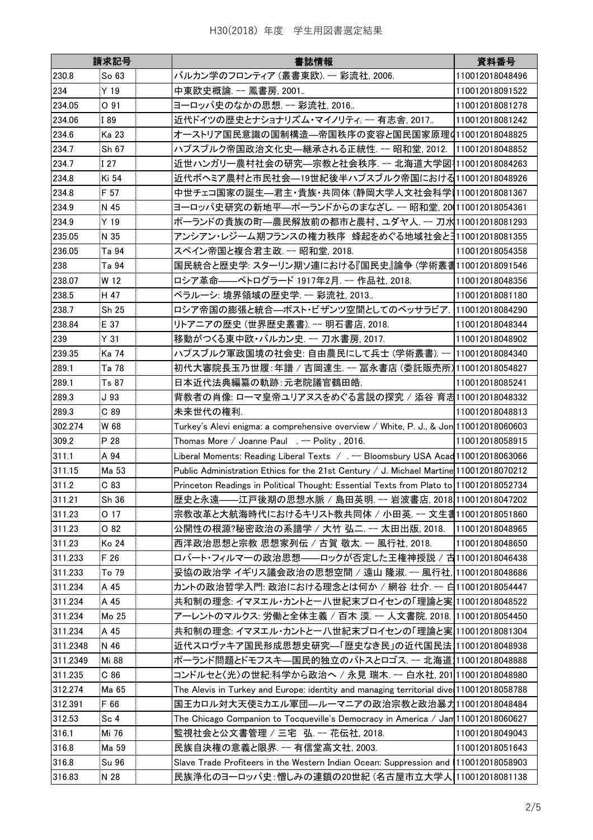|          | 請求記号         | 書誌情報                                                                                    | 資料番号            |
|----------|--------------|-----------------------------------------------------------------------------------------|-----------------|
| 230.8    | So 63        | バルカン学のフロンティア (叢書東欧). -- 彩流社, 2006.                                                      | 110012018048496 |
| 234      | Y 19         | 中東欧史概論. -- 鳳書房, 2001                                                                    | 110012018091522 |
| 234.05   | O 91         | ヨーロッパ史のなかの思想. -- 彩流社, 2016                                                              | 110012018081278 |
| 234.06   | I 89         | 近代ドイツの歴史とナショナリズム・マイノリティ -- 有志舎. 2017                                                    | 110012018081242 |
| 234.6    | Ka 23        | オーストリア国民意識の国制構造—帝国秩序の変容と国民国家原理4110012018048825                                          |                 |
| 234.7    | Sh 67        | ハプスブルク帝国政治文化史—継承される正統性. -- 昭和堂, 2012.  110012018048852                                  |                 |
| 234.7    | I 27         | 近世ハンガリ一農村社会の研究―宗教と社会秩序. -- 北海道大学図┦110012018084263                                       |                 |
| 234.8    | Ki 54        | 近代ボヘミア農村と市民社会―19世紀後半ハプスブルク帝国における110012018048926                                         |                 |
| 234.8    | F 57         | 中世チェコ国家の誕生—君主・貴族・共同体 (静岡大学人文社会科学 110012018081367                                        |                 |
| 234.9    | N 45         | ヨ―ロッパ史研究の新地平―ポ―ランドからのまなざし. -- 昭和堂, 20(110012018054361                                   |                 |
| 234.9    | Y 19         | ポーランドの貴族の町―農民解放前の都市と農村、ユダヤ人. -- 刀水 110012018081293                                      |                 |
| 235.05   | N 35         | アンシアン・レジーム期フランスの権力秩序 蜂起をめぐる地域社会とヨ110012018081355                                        |                 |
| 236.05   | Ta 94        | スペイン帝国と複合君主政. -- 昭和堂, 2018.                                                             | 110012018054358 |
| 238      | Ta 94        | 国民統合と歴史学: スターリン期ソ連における『国民史』論争 (学術叢書110012018091546                                      |                 |
| 238.07   | W 12         | ロシア革命——ペトログラード 1917年2月. -- 作品社, 2018.                                                   | 110012018048356 |
| 238.5    | H 47         | ベラルーシ: 境界領域の歴史学. -- 彩流社, 2013                                                           | 110012018081180 |
| 238.7    | Sh 25        | ロシア帝国の膨張と統合―ポスト・ビザンツ空間としてのベッサラビア.                                                       | 110012018084290 |
| 238.84   | E 37         | リトアニアの歴史 (世界歴史叢書). -- 明石書店, 2018.                                                       | 110012018048344 |
| 239      | Y 31         | 移動がつくる東中欧・バルカン史. -- 刀水書房, 2017.                                                         | 110012018048902 |
| 239.35   | Ka 74        | ハプスブルク軍政国境の社会史: 自由農民にして兵士 (学術叢書). --                                                    | 110012018084340 |
| 289.1    | Ta 78        | 初代大審院長玉乃世履:年譜 / 吉岡達生. -- 冨永書店 (委託販売所) 110012018054827                                   |                 |
| 289.1    | Ts 87        | 日本近代法典編纂の軌跡:元老院議官鶴田皓.                                                                   | 110012018085241 |
| 289.3    | J 93         | 背教者の肖像: ローマ皇帝ユリアヌスをめぐる言説の探究 / 添谷 育志110012018048332                                      |                 |
| 289.3    | C89          | 未来世代の権利.                                                                                | 110012018048813 |
| 302.274  | W 68         | Turkey's Alevi enigma: a comprehensive overview / White, P. J., & Jon 110012018060603   |                 |
| 309.2    | P 28         | Thomas More / Joanne Paul . -- Polity, 2016.                                            | 110012018058915 |
|          |              | Liberal Moments: Reading Liberal Texts / .-- Bloomsbury USA Acad 110012018063066        |                 |
| 311.1    | A 94         |                                                                                         |                 |
| 311.15   | Ma 53        | Public Administration Ethics for the 21st Century / J. Michael Martine 110012018070212  |                 |
| 311.2    | C83          | Princeton Readings in Political Thought: Essential Texts from Plato to 110012018052734  |                 |
| 311.21   | Sh 36        | 歴史と永遠——江戸後期の思想水脈 / 島田英明. -- 岩波書店, 2018 110012018047202                                  |                 |
| 311.23   | O 17         | 宗教改革と大航海時代におけるキリスト教共同体 / 小田英. -- 文生書110012018051860                                     |                 |
| 311.23   | O 82         | 公開性の根源?秘密政治の系譜学 / 大竹 弘二. -- 太田出版, 2018.                                                 | 110012018048965 |
| 311.23   | Ko 24        | 西洋政治思想と宗教 思想家列伝 / 古賀 敬太. -- 風行社, 2018.                                                  | 110012018048650 |
| 311.233  | F 26         | ロバート・フィルマーの政治思想——ロックが否定した王権神授説 / 古110012018046438                                       |                 |
| 311.233  | To 79        | 妥協の政治学 イギリス議会政治の思想空間 / 遠山 隆淑. -- 風行社, 110012018048686                                   |                 |
| 311.234  | A 45         | カントの政治哲学入門: 政治における理念とは何か / 網谷 壮介. -- 白110012018054447                                   |                 |
| 311.234  | A 45         | 共和制の理念: イマヌエル・カントと一八世紀末プロイセンの「理論と実 110012018048522                                      |                 |
| 311.234  | Mo 25        | アーレントのマルクス: 労働と全体主義 / 百木 漠. -- 人文書院, 2018. 110012018054450                              |                 |
| 311.234  | A 45         | 共和制の理念: イマヌエル・カントと一八世紀末プロイセンの「理論と実 110012018081304                                      |                 |
| 311.2348 | N 46         | 近代スロヴァキア国民形成思想史研究––「歴史なき民」の近代国民法 110012018048938                                        |                 |
| 311.2349 | Mi 88        | ポーランド問題とドモフスキ—国民的独立のパトスとロゴス. -- 北海道 110012018048888                                     |                 |
| 311.235  | C86          | コンドルセと〈光〉の世紀:科学から政治へ / 永見 瑞木. -- 白水社, 201 110012018048980                               |                 |
| 312.274  | Ma 65        | The Alevis in Turkey and Europe: identity and managing territorial dive 110012018058788 |                 |
| 312.391  | F 66         | 国王カロル対大天使ミカエル軍団―ルーマニアの政治宗教と政治暴力110012018048484                                          |                 |
| 312.53   | Sc 4         | The Chicago Companion to Tocqueville's Democracy in America / Jam 110012018060627       |                 |
| 316.1    | Mi 76        | 監視社会と公文書管理 / 三宅 弘. -- 花伝社, 2018.                                                        | 110012018049043 |
| 316.8    | Ma 59        | 民族自決権の意義と限界. -- 有信堂高文社, 2003.                                                           | 110012018051643 |
| 316.8    | <b>Su 96</b> | Slave Trade Profiteers in the Western Indian Ocean: Suppression and 110012018058903     |                 |
| 316.83   | N 28         | 民族浄化のヨーロッパ史:憎しみの連鎖の20世紀 (名古屋市立大学人 110012018081138                                       |                 |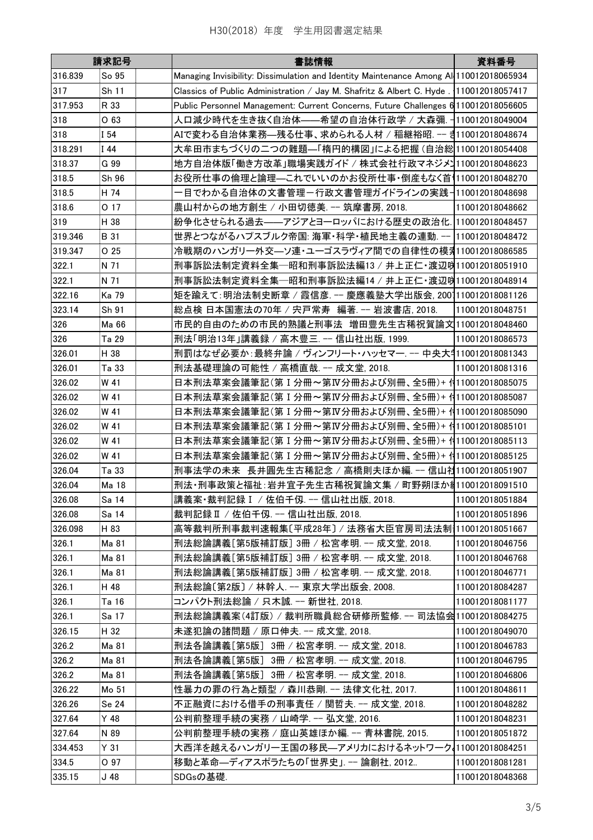|         | 請求記号  | 書誌情報                                                                                   | 資料番号            |
|---------|-------|----------------------------------------------------------------------------------------|-----------------|
| 316.839 | So 95 | Managing Invisibility: Dissimulation and Identity Maintenance Among Al 110012018065934 |                 |
| 317     | Sh 11 | Classics of Public Administration / Jay M. Shafritz & Albert C. Hyde . 110012018057417 |                 |
| 317.953 | R 33  | Public Personnel Management: Current Concerns, Future Challenges 6 110012018056605     |                 |
| 318     | O 63  | 人口減少時代を生き抜く自治体——希望の自治体行政学 / 大森彌. ┤110012018049004                                      |                 |
| 318     | I 54  | AIで変わる自治体業務—残る仕事、求められる人材 / 稲継裕昭. -- ヺ゚110012018048674                                  |                 |
| 318.291 | I 44  | 大牟田市まちづくりの二つの難題—「楕円的構図」による把握 (自治総 110012018054408                                      |                 |
| 318.37  | G 99  | 地方自治体版「働き方改革」職場実践ガイド / 株式会社行政マネジメコ110012018048623                                      |                 |
| 318.5   | Sh 96 | お役所仕事の倫理と論理—これでいいのかお役所仕事・倒産もなく首  10012018048270                                        |                 |
| 318.5   | H 74  | -目でわかる自治体の文書管理-行政文書管理ガイドラインの実践- 110012018048698                                        |                 |
| 318.6   | O 17  | 農山村からの地方創生 / 小田切徳美. -- 筑摩書房, 2018.                                                     | 110012018048662 |
| 319     | H 38  | 紛争化させられる過去——アジアとヨーロッパにおける歴史の政治化. 110012018048457                                       |                 |
| 319.346 | B 31  | 世界とつながるハプスブルク帝国: 海軍・科学・植民地主義の連動. --  110012018048472                                   |                 |
| 319.347 | O 25  | 冷戦期のハンガリー外交―ソ連・ユーゴスラヴィア間での自律性の模乳110012018086585                                        |                 |
| 322.1   | N 71  | 刑事訴訟法制定資料全集─昭和刑事訴訟法編13/井上正仁・渡辺吲110012018051910                                         |                 |
| 322.1   | N 71  | 刑事訴訟法制定資料全集─昭和刑事訴訟法編14/井上正仁・渡辺吲110012018048914                                         |                 |
| 322.16  | Ka 79 | 矩を踰えて:明治法制史断章/霞信彦. -- 慶應義塾大学出版会, 2001110012018081126                                   |                 |
| 323.14  | Sh 91 | 総点検 日本国憲法の70年 / 宍戸常寿 編著. -- 岩波書店, 2018.                                                | 110012018048751 |
| 326     | Ma 66 | 市民的自由のための市民的熟議と刑事法 増田豊先生古稀祝賀論文 110012018048460                                         |                 |
| 326     | Ta 29 | 刑法「明治13年」講義録 / 高木豊三. -- 信山社出版, 1999.                                                   | 110012018086573 |
| 326.01  | H 38  | 刑罰はなぜ必要か:最終弁論 / ヴィンフリート・ハッセマー. -- 中央大=110012018081343                                  |                 |
| 326.01  | Ta 33 | 刑法基礎理論の可能性 / 高橋直哉. -- 成文堂, 2018.                                                       | 110012018081316 |
| 326.02  | W 41  | 日本刑法草案会議筆記(第 I 分冊~第IV分冊および別冊、全5冊)+ 付110012018085075                                    |                 |
| 326.02  | W 41  | 日本刑法草案会議筆記(第Ⅰ分冊~第Ⅳ分冊および別冊、全5冊)+ 付110012018085087                                       |                 |
| 326.02  | W 41  | 日本刑法草案会議筆記(第Ⅰ分冊~第Ⅳ分冊および別冊、全5冊)+ 付110012018085090                                       |                 |
| 326.02  | W 41  | 日本刑法草案会議筆記(第 I 分冊~第Ⅳ分冊および別冊、全5冊)+ 付110012018085101                                     |                 |
| 326.02  | W 41  | 日本刑法草案会議筆記(第Ⅰ分冊~第Ⅳ分冊および別冊、全5冊)+ 付110012018085113                                       |                 |
| 326.02  | W 41  | 日本刑法草案会議筆記(第 I 分冊~第IV分冊および別冊、全5冊)+ 付110012018085125                                    |                 |
| 326.04  | Ta 33 | 刑事法学の未来 長井圓先生古稀記念 / 高橋則夫ほか編. -- 信山社110012018051907                                     |                 |
| 326.04  | Ma 18 | 刑法・刑事政策と福祉・岩井宜子先生古稀祝賀論文集/町野朔ほか╣110012018091510                                         |                 |
| 326.08  | Sa 14 | 講義案・裁判記録 I /佐伯千仭. -- 信山社出版, 2018.                                                      | 110012018051884 |
| 326.08  | Sa 14 | 裁判記録Ⅱ / 佐伯千仭. -- 信山社出版, 2018.                                                          | 110012018051896 |
| 326.098 | H 83  | 高等裁判所刑事裁判速報集〔平成28年〕/法務省大臣官房司法法制†110012018051667                                        |                 |
| 326.1   | Ma 81 | 刑法総論講義[第5版補訂版] 3冊 / 松宮孝明. -- 成文堂, 2018.                                                | 110012018046756 |
| 326.1   | Ma 81 | 刑法総論講義[第5版補訂版] 3冊 / 松宮孝明. -- 成文堂, 2018.                                                | 110012018046768 |
| 326.1   | Ma 81 | 刑法総論講義[第5版補訂版] 3冊 / 松宮孝明. -- 成文堂, 2018.                                                | 110012018046771 |
| 326.1   | H 48  | 刑法総論〔第2版〕 / 林幹人. -- 東京大学出版会, 2008.                                                     | 110012018084287 |
| 326.1   | Ta 16 | コンパクト刑法総論 / 只木誠. -- 新世社, 2018.                                                         | 110012018081177 |
| 326.1   | Sa 17 | 刑法総論講義案(4訂版) / 裁判所職員総合研修所監修. -- 司法協会 10012018084275                                    |                 |
| 326.15  | H 32  | 未遂犯論の諸問題 / 原口伸夫. -- 成文堂. 2018.                                                         | 110012018049070 |
| 326.2   | Ma 81 | 刑法各論講義[第5版] 3冊 / 松宮孝明. -- 成文堂, 2018.                                                   | 110012018046783 |
| 326.2   | Ma 81 | 刑法各論講義[第5版] 3冊 / 松宮孝明. -- 成文堂, 2018.                                                   | 110012018046795 |
| 326.2   | Ma 81 | 刑法各論講義[第5版] 3冊 / 松宮孝明. -- 成文堂, 2018.                                                   | 110012018046806 |
| 326.22  | Mo 51 | 性暴力の罪の行為と類型 / 森川恭剛. -- 法律文化社, 2017.                                                    | 110012018048611 |
| 326.26  | Se 24 | 不正融資における借手の刑事責任 / 関哲夫. -- 成文堂, 2018.                                                   | 110012018048282 |
| 327.64  | Y 48  | 公判前整理手続の実務 / 山崎学. -- 弘文堂, 2016.                                                        | 110012018048231 |
| 327.64  | N 89  | 公判前整理手続の実務 / 庭山英雄ほか編. -- 青林書院, 2015.                                                   | 110012018051872 |
| 334.453 | Y 31  | 大西洋を越えるハンガリー王国の移民―アメリカにおけるネットワーク【110012018084251                                       |                 |
| 334.5   | O 97  | 移動と革命―ディアスポラたちの「世界史」 -- 論創社, 2012                                                      | 110012018081281 |
| 335.15  | J 48  | SDGsの基礎.                                                                               | 110012018048368 |
|         |       |                                                                                        |                 |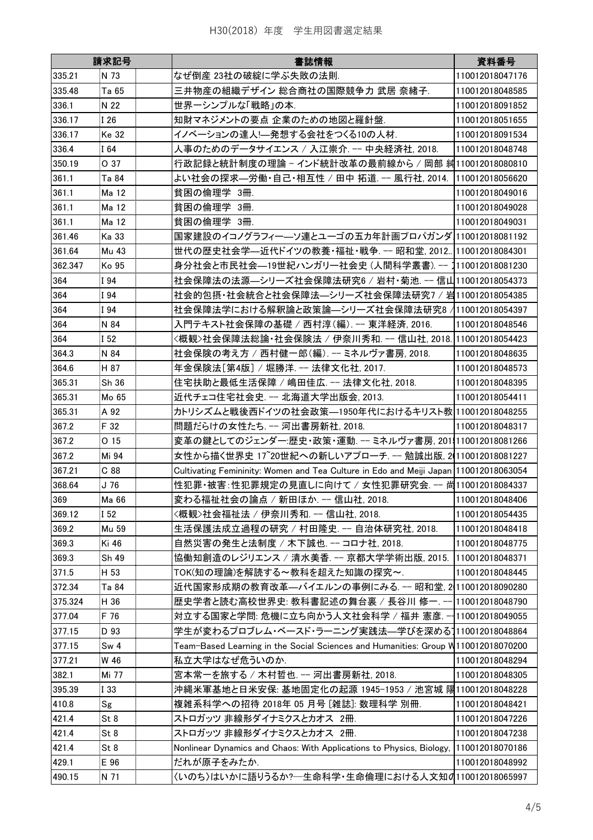|         | 請求記号          | 書誌情報                                                                                 | 資料番号            |
|---------|---------------|--------------------------------------------------------------------------------------|-----------------|
| 335.21  | N 73          | なぜ倒産 23社の破綻に学ぶ失敗の法則.                                                                 | 110012018047176 |
| 335.48  | Ta 65         | 三井物産の組織デザイン 総合商社の国際競争力 武居 奈緒子.                                                       | 110012018048585 |
| 336.1   | N 22          | 世界ーシンプルな「戦略」の本.                                                                      | 110012018091852 |
| 336.17  | I 26          | 知財マネジメントの要点 企業のための地図と羅針盤.                                                            | 110012018051655 |
| 336.17  | Ke 32         | イノベーションの達人!――発想する会社をつくる10の人材.                                                        | 110012018091534 |
| 336.4   | I 64          | 人事のためのデータサイエンス / 入江崇介. -- 中央経済社, 2018.                                               | 110012018048748 |
| 350.19  | O 37          | 行政記録と統計制度の理論 - インド統計改革の最前線から / 岡部 糾110012018080810                                   |                 |
| 361.1   | Ta 84         | よい社会の探求—労働・自己・相互性 / 田中 拓道 -- 風行社, 2014.  110012018056620                             |                 |
| 361.1   | Ma 12         | 貧困の倫理学 3冊.                                                                           | 110012018049016 |
| 361.1   | Ma 12         | 貧困の倫理学 3冊.                                                                           | 110012018049028 |
| 361.1   | Ma 12         | 貧困の倫理学 3冊.                                                                           | 110012018049031 |
| 361.46  | Ka 33         | 国家建設のイコノグラフィー―ソ連とユーゴの五カ年計画プロパガンダ 110012018081192                                     |                 |
| 361.64  | Mu 43         | 世代の歴史社会学—近代ドイツの教養・福祉・戦争. -- 昭和堂, 2012 110012018084301                                |                 |
| 362.347 | Ko 95         | 身分社会と市民社会—19世紀ハンガリー社会史 (人間科学叢書). -- 1110012018081230                                 |                 |
|         |               |                                                                                      |                 |
| 364     | I 94          | 社会保障法の法源—シリーズ社会保障法研究6 / 岩村・菊池. -- 信山110012018054373                                  |                 |
| 364     | I 94          | 社会的包摂・社会統合と社会保障法—シリーズ社会保障法研究7 / 岩110012018054385                                     |                 |
| 364     | I 94          | 社会保障法学における解釈論と政策論—シリーズ社会保障法研究8 /110012018054397                                      |                 |
| 364     | N 84          | 入門テキスト社会保障の基礎 / 西村淳(編). -- 東洋経済. 2016.                                               | 110012018048546 |
| 364     | I 52          | 〈概観>社会保障法総論・社会保険法 / 伊奈川秀和 -- 信山社, 2018. 110012018054423                              |                 |
| 364.3   | N 84          | 社会保険の考え方 / 西村健一郎(編). -- ミネルヴァ書房, 2018.                                               | 110012018048635 |
| 364.6   | H 87          | 年金保険法[第4版] / 堀勝洋. -- 法律文化社, 2017.                                                    | 110012018048573 |
| 365.31  | Sh 36         | 住宅扶助と最低生活保障 / 嶋田佳広. -- 法律文化社, 2018.                                                  | 110012018048395 |
| 365.31  | Mo 65         | 近代チェコ住宅社会史. -- 北海道大学出版会, 2013.                                                       | 110012018054411 |
| 365.31  | A 92          | カトリシズムと戦後西ドイツの社会政策―1950年代におけるキリスト教 110012018048255                                   |                 |
| 367.2   | F 32          | 問題だらけの女性たち. -- 河出書房新社, 2018.                                                         | 110012018048317 |
| 367.2   | O 15          | 変革の鍵としてのジェンダー:歴史・政策・運動. -- ミネルヴァ書房, 201  110012018081266                             |                 |
| 367.2   | Mi 94         | 女性から描く世界史 17~20世紀への新しいアプローチ. -- 勉誠出版, 2(110012018081227                              |                 |
| 367.21  | C88           | Cultivating Femininity: Women and Tea Culture in Edo and Meiji Japan 110012018063054 |                 |
| 368.64  | J 76          | 性犯罪・被害:性犯罪規定の見直しに向けて / 女性犯罪研究会. -- 尚110012018084337                                  |                 |
| 369     | Ma 66         | 変わる福祉社会の論点 / 新田ほか. -- 信山社, 2018.                                                     | 110012018048406 |
| 369.12  | I 52          | 〈概観〉社会福祉法 / 伊奈川秀和. -- 信山社, 2018.                                                     | 110012018054435 |
| 369.2   | Mu 59         | 生活保護法成立過程の研究 / 村田隆史. -- 自治体研究社, 2018.                                                | 110012018048418 |
| 369.3   | Ki 46         | 自然災害の発生と法制度 / 木下誠也. -- コロナ社, 2018.                                                   | 110012018048775 |
| 369.3   | Sh 49         | 協働知創造のレジリエンス / 清水美香. -- 京都大学学術出版, 2015.  110012018048371                             |                 |
| 371.5   | H 53          | TOK(知の理論)を解読する~教科を超えた知識の探究~.                                                         | 110012018048445 |
| 372.34  | Ta 84         | 近代国家形成期の教育改革—バイエルンの事例にみる. -- 昭和堂, 2 110012018090280                                  |                 |
| 375.324 | H 36          | 歴史学者と読む高校世界史: 教科書記述の舞台裏 / 長谷川 修一. -- 110012018048790                                 |                 |
| 377.04  | F 76          | 対立する国家と学問: 危機に立ち向かう人文社会科学 / 福井 憲彦. -- 110012018049055                                |                 |
|         |               |                                                                                      |                 |
| 377.15  | D 93          | 学生が変わるプロブレム・ベースド・ラーニング実践法―学びを深める1110012018048864                                     |                 |
| 377.15  | Sw 4          | Team-Based Learning in the Social Sciences and Humanities: Group W110012018070200    |                 |
| 377.21  | W 46          | 私立大学はなぜ危ういのか.                                                                        | 110012018048294 |
| 382.1   | Mi 77         | 宮本常一を旅する / 木村哲也. -- 河出書房新社, 2018.                                                    | 110012018048305 |
| 395.39  | I 33          | 沖縄米軍基地と日米安保: 基地固定化の起源 1945-1953 / 池宮城 陽110012018048228                               |                 |
| 410.8   | $\mathsf{Sg}$ | 複雑系科学への招待 2018年 05 月号 [雑誌]: 数理科学 別冊.                                                 | 110012018048421 |
| 421.4   | St 8          | ストロガッツ 非線形ダイナミクスとカオス 2冊.                                                             | 110012018047226 |
| 421.4   | St 8          | ストロガッツ 非線形ダイナミクスとカオス 2冊.                                                             | 110012018047238 |
| 421.4   | St 8          | Nonlinear Dynamics and Chaos: With Applications to Physics, Biology, 110012018070186 |                 |
| 429.1   | E 96          | だれが原子をみたか.                                                                           | 110012018048992 |
| 490.15  | N 71          | 〈いのち〉はいかに語りうるか? 一生命科学·生命倫理における人文知の110012018065997                                    |                 |